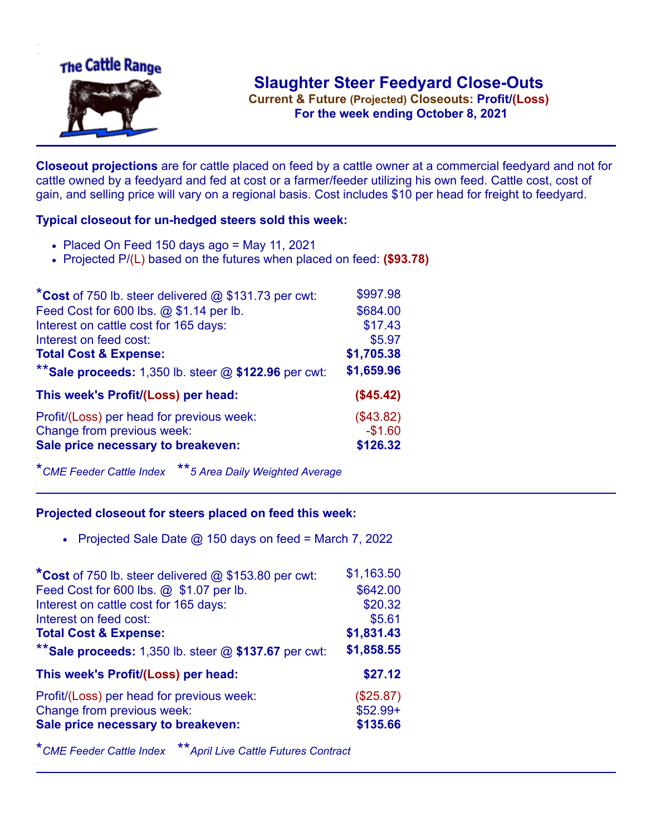

**Current & Future (Projected) Closeouts: Profit/(Loss)** .**For the week ending October 8, 2021**

**Closeout projections** are for cattle placed on feed by a cattle owner at a commercial feedyard and not for cattle owned by a feedyard and fed at cost or a farmer/feeder utilizing his own feed. Cattle cost, cost of gain, and selling price will vary on a regional basis. Cost includes \$10 per head for freight to feedyard.

## **Typical closeout for un-hedged steers sold this week:**

- $\bullet$  Placed On Feed 150 days ago = May 11, 2021
- Projected P/(L) based on the futures when placed on feed: **(\$93.78)**

| *Cost of 750 lb. steer delivered $@$ \$131.73 per cwt:  | \$997.98   |
|---------------------------------------------------------|------------|
| Feed Cost for 600 lbs. @ \$1.14 per lb.                 | \$684.00   |
| Interest on cattle cost for 165 days:                   | \$17.43    |
| Interest on feed cost:                                  | \$5.97     |
| <b>Total Cost &amp; Expense:</b>                        | \$1,705.38 |
| ** Sale proceeds: 1,350 lb. steer $@$ \$122.96 per cwt: | \$1,659.96 |
| This week's Profit/(Loss) per head:                     | (\$45.42)  |
| Profit/(Loss) per head for previous week:               | (\$43.82)  |
| Change from previous week:                              | $-$1.60$   |
| Sale price necessary to breakeven:                      | \$126.32   |

\**CME Feeder Cattle Index* \*\**5 Area Daily Weighted Average*

## **Projected closeout for steers placed on feed this week:**

• Projected Sale Date  $@$  150 days on feed = March 7, 2022

| *Cost of 750 lb. steer delivered @ \$153.80 per cwt:    | \$1,163.50 |
|---------------------------------------------------------|------------|
| Feed Cost for 600 lbs. @ \$1.07 per lb.                 | \$642.00   |
| Interest on cattle cost for 165 days:                   | \$20.32    |
| Interest on feed cost:                                  | \$5.61     |
| <b>Total Cost &amp; Expense:</b>                        | \$1,831.43 |
| ** Sale proceeds: 1,350 lb. steer $@$ \$137.67 per cwt: | \$1,858.55 |
| This week's Profit/(Loss) per head:                     | \$27.12    |
| Profit/(Loss) per head for previous week:               | (\$25.87)  |
| Change from previous week:                              | $$52.99+$  |
| Sale price necessary to breakeven:                      | \$135.66   |
|                                                         |            |

\**CME Feeder Cattle Index* \*\**April Live Cattle Futures Contract*